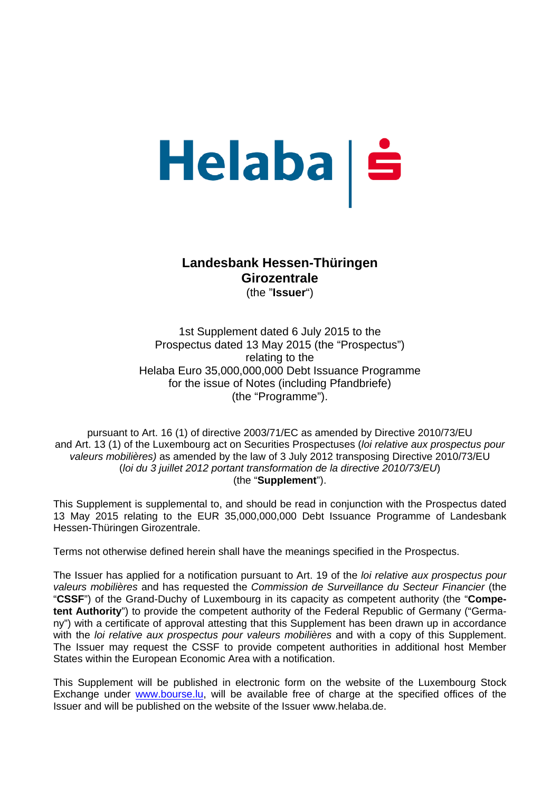# Helaba | š

## **Landesbank Hessen-Thüringen Girozentrale**  (the "**Issuer**")

1st Supplement dated 6 July 2015 to the Prospectus dated 13 May 2015 (the "Prospectus") relating to the Helaba Euro 35,000,000,000 Debt Issuance Programme for the issue of Notes (including Pfandbriefe) (the "Programme").

pursuant to Art. 16 (1) of directive 2003/71/EC as amended by Directive 2010/73/EU and Art. 13 (1) of the Luxembourg act on Securities Prospectuses (*loi relative aux prospectus pour valeurs mobilières)* as amended by the law of 3 July 2012 transposing Directive 2010/73/EU (*loi du 3 juillet 2012 portant transformation de la directive 2010/73/EU*) (the "**Supplement**").

This Supplement is supplemental to, and should be read in conjunction with the Prospectus dated 13 May 2015 relating to the EUR 35,000,000,000 Debt Issuance Programme of Landesbank Hessen-Thüringen Girozentrale.

Terms not otherwise defined herein shall have the meanings specified in the Prospectus.

The Issuer has applied for a notification pursuant to Art. 19 of the *loi relative aux prospectus pour valeurs mobilières* and has requested the *Commission de Surveillance du Secteur Financier* (the "**CSSF**") of the Grand-Duchy of Luxembourg in its capacity as competent authority (the "**Competent Authority**") to provide the competent authority of the Federal Republic of Germany ("Germany") with a certificate of approval attesting that this Supplement has been drawn up in accordance with the *loi relative aux prospectus pour valeurs mobilières* and with a copy of this Supplement. The Issuer may request the CSSF to provide competent authorities in additional host Member States within the European Economic Area with a notification.

This Supplement will be published in electronic form on the website of the Luxembourg Stock Exchange under www.bourse.lu, will be available free of charge at the specified offices of the Issuer and will be published on the website of the Issuer www.helaba.de.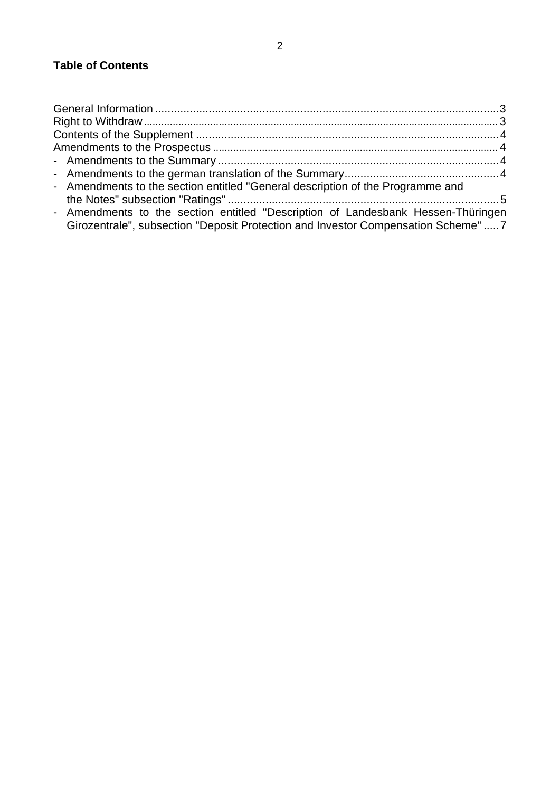# **Table of Contents**

| - Amendments to the section entitled "General description of the Programme and   |  |
|----------------------------------------------------------------------------------|--|
|                                                                                  |  |
| - Amendments to the section entitled "Description of Landesbank Hessen-Thüringen |  |
| Girozentrale", subsection "Deposit Protection and Investor Compensation Scheme"7 |  |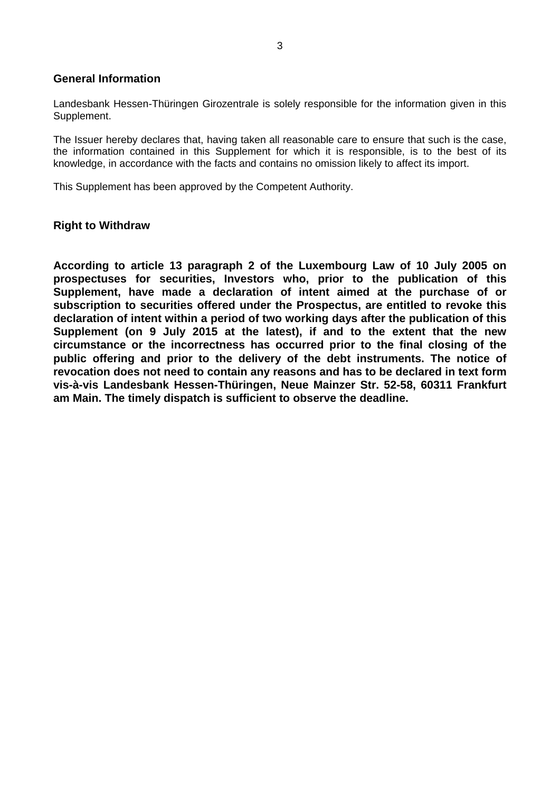#### **General Information**

Landesbank Hessen-Thüringen Girozentrale is solely responsible for the information given in this Supplement.

The Issuer hereby declares that, having taken all reasonable care to ensure that such is the case, the information contained in this Supplement for which it is responsible, is to the best of its knowledge, in accordance with the facts and contains no omission likely to affect its import.

This Supplement has been approved by the Competent Authority.

### **Right to Withdraw**

**According to article 13 paragraph 2 of the Luxembourg Law of 10 July 2005 on prospectuses for securities, Investors who, prior to the publication of this Supplement, have made a declaration of intent aimed at the purchase of or subscription to securities offered under the Prospectus, are entitled to revoke this declaration of intent within a period of two working days after the publication of this Supplement (on 9 July 2015 at the latest), if and to the extent that the new circumstance or the incorrectness has occurred prior to the final closing of the public offering and prior to the delivery of the debt instruments. The notice of revocation does not need to contain any reasons and has to be declared in text form vis-à-vis Landesbank Hessen-Thüringen, Neue Mainzer Str. 52-58, 60311 Frankfurt am Main. The timely dispatch is sufficient to observe the deadline.**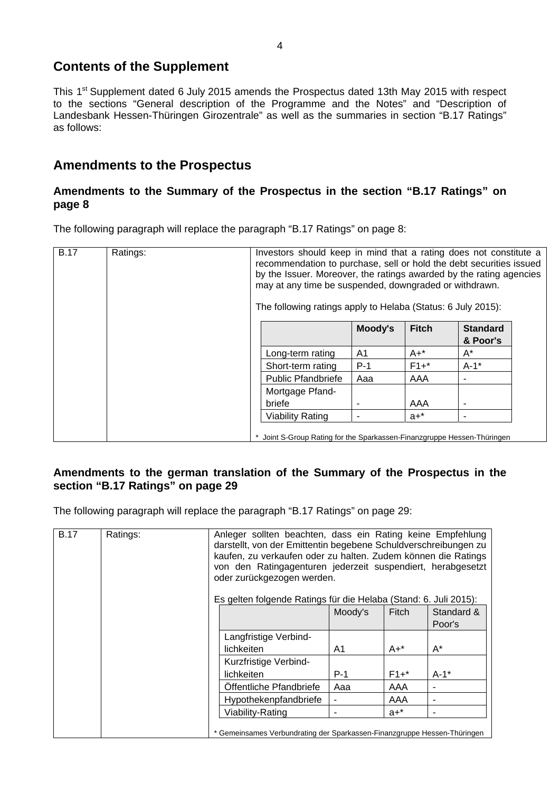# **Contents of the Supplement**

This 1<sup>st</sup> Supplement dated 6 July 2015 amends the Prospectus dated 13th May 2015 with respect to the sections "General description of the Programme and the Notes" and "Description of Landesbank Hessen-Thüringen Girozentrale" as well as the summaries in section "B.17 Ratings" as follows:

# **Amendments to the Prospectus**

## **Amendments to the Summary of the Prospectus in the section "B.17 Ratings" on page 8**

The following paragraph will replace the paragraph "B.17 Ratings" on page 8:

| <b>B.17</b> | Ratings: | Investors should keep in mind that a rating does not constitute a<br>recommendation to purchase, sell or hold the debt securities issued<br>by the Issuer. Moreover, the ratings awarded by the rating agencies<br>may at any time be suspended, downgraded or withdrawn.<br>The following ratings apply to Helaba (Status: 6 July 2015): |                                                                         |         |              |                 |  |
|-------------|----------|-------------------------------------------------------------------------------------------------------------------------------------------------------------------------------------------------------------------------------------------------------------------------------------------------------------------------------------------|-------------------------------------------------------------------------|---------|--------------|-----------------|--|
|             |          |                                                                                                                                                                                                                                                                                                                                           |                                                                         | Moody's | <b>Fitch</b> | <b>Standard</b> |  |
|             |          |                                                                                                                                                                                                                                                                                                                                           |                                                                         |         |              | & Poor's        |  |
|             |          |                                                                                                                                                                                                                                                                                                                                           | Long-term rating                                                        | A1      | $A+$ *       | A*              |  |
|             |          |                                                                                                                                                                                                                                                                                                                                           | Short-term rating                                                       | $P-1$   | $F1+$ *      | $A-1*$          |  |
|             |          |                                                                                                                                                                                                                                                                                                                                           | <b>Public Pfandbriefe</b>                                               | Aaa     | AAA          |                 |  |
|             |          |                                                                                                                                                                                                                                                                                                                                           | Mortgage Pfand-                                                         |         |              |                 |  |
|             |          |                                                                                                                                                                                                                                                                                                                                           | briefe                                                                  |         | AAA          | ٠               |  |
|             |          |                                                                                                                                                                                                                                                                                                                                           | <b>Viability Rating</b>                                                 |         | $a+$ *       |                 |  |
|             |          |                                                                                                                                                                                                                                                                                                                                           | * Joint S-Group Rating for the Sparkassen-Finanzgruppe Hessen-Thüringen |         |              |                 |  |

## **Amendments to the german translation of the Summary of the Prospectus in the section "B.17 Ratings" on page 29**

The following paragraph will replace the paragraph "B.17 Ratings" on page 29:

| <b>B.17</b> | Ratings: | Anleger sollten beachten, dass ein Rating keine Empfehlung<br>darstellt, von der Emittentin begebene Schuldverschreibungen zu<br>kaufen, zu verkaufen oder zu halten. Zudem können die Ratings<br>von den Ratingagenturen jederzeit suspendiert, herabgesetzt<br>oder zurückgezogen werden. |                         |         |         |            |
|-------------|----------|---------------------------------------------------------------------------------------------------------------------------------------------------------------------------------------------------------------------------------------------------------------------------------------------|-------------------------|---------|---------|------------|
|             |          | Es gelten folgende Ratings für die Helaba (Stand: 6. Juli 2015):                                                                                                                                                                                                                            |                         |         |         |            |
|             |          |                                                                                                                                                                                                                                                                                             |                         | Moody's | Fitch   | Standard & |
|             |          |                                                                                                                                                                                                                                                                                             |                         |         |         | Poor's     |
|             |          |                                                                                                                                                                                                                                                                                             | Langfristige Verbind-   |         |         |            |
|             |          |                                                                                                                                                                                                                                                                                             | lichkeiten              | A1      | $A+^*$  | $A^*$      |
|             |          | Kurzfristige Verbind-                                                                                                                                                                                                                                                                       |                         |         |         |            |
|             |          |                                                                                                                                                                                                                                                                                             | lichkeiten              | $P-1$   | $F1+$ * | $A-1$ *    |
|             |          |                                                                                                                                                                                                                                                                                             | Offentliche Pfandbriefe | Aaa     | AAA     |            |
|             |          |                                                                                                                                                                                                                                                                                             | Hypothekenpfandbriefe   |         | AAA     |            |
|             |          |                                                                                                                                                                                                                                                                                             | Viability-Rating        |         | $a + *$ |            |
|             |          | * Gemeinsames Verbundrating der Sparkassen-Finanzgruppe Hessen-Thüringen                                                                                                                                                                                                                    |                         |         |         |            |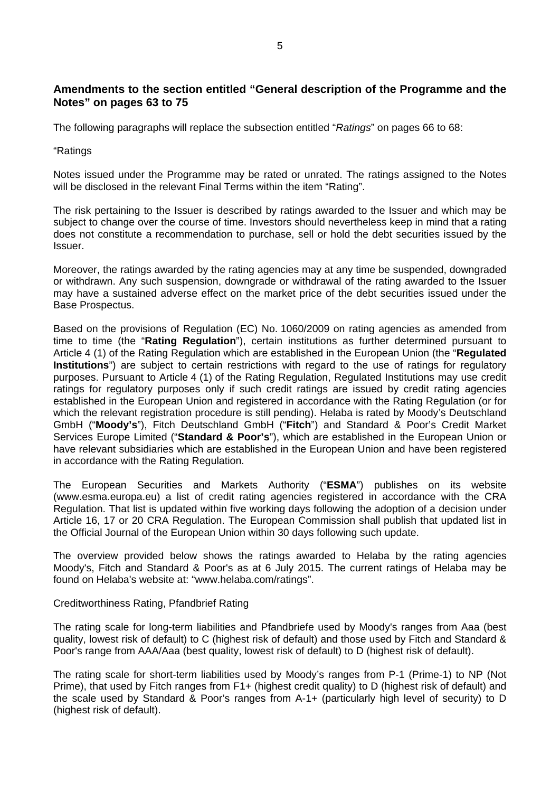## **Amendments to the section entitled "General description of the Programme and the Notes" on pages 63 to 75**

The following paragraphs will replace the subsection entitled "*Ratings*" on pages 66 to 68:

"Ratings

Notes issued under the Programme may be rated or unrated. The ratings assigned to the Notes will be disclosed in the relevant Final Terms within the item "Rating".

The risk pertaining to the Issuer is described by ratings awarded to the Issuer and which may be subject to change over the course of time. Investors should nevertheless keep in mind that a rating does not constitute a recommendation to purchase, sell or hold the debt securities issued by the Issuer.

Moreover, the ratings awarded by the rating agencies may at any time be suspended, downgraded or withdrawn. Any such suspension, downgrade or withdrawal of the rating awarded to the Issuer may have a sustained adverse effect on the market price of the debt securities issued under the Base Prospectus.

Based on the provisions of Regulation (EC) No. 1060/2009 on rating agencies as amended from time to time (the "**Rating Regulation**"), certain institutions as further determined pursuant to Article 4 (1) of the Rating Regulation which are established in the European Union (the "**Regulated Institutions**") are subject to certain restrictions with regard to the use of ratings for regulatory purposes. Pursuant to Article 4 (1) of the Rating Regulation, Regulated Institutions may use credit ratings for regulatory purposes only if such credit ratings are issued by credit rating agencies established in the European Union and registered in accordance with the Rating Regulation (or for which the relevant registration procedure is still pending). Helaba is rated by Moody's Deutschland GmbH ("**Moody's**"), Fitch Deutschland GmbH ("**Fitch**") and Standard & Poor's Credit Market Services Europe Limited ("**Standard & Poor's**"), which are established in the European Union or have relevant subsidiaries which are established in the European Union and have been registered in accordance with the Rating Regulation.

The European Securities and Markets Authority ("**ESMA**") publishes on its website (www.esma.europa.eu) a list of credit rating agencies registered in accordance with the CRA Regulation. That list is updated within five working days following the adoption of a decision under Article 16, 17 or 20 CRA Regulation. The European Commission shall publish that updated list in the Official Journal of the European Union within 30 days following such update.

The overview provided below shows the ratings awarded to Helaba by the rating agencies Moody's, Fitch and Standard & Poor's as at 6 July 2015. The current ratings of Helaba may be found on Helaba's website at: "www.helaba.com/ratings".

Creditworthiness Rating, Pfandbrief Rating

The rating scale for long-term liabilities and Pfandbriefe used by Moody's ranges from Aaa (best quality, lowest risk of default) to C (highest risk of default) and those used by Fitch and Standard & Poor's range from AAA/Aaa (best quality, lowest risk of default) to D (highest risk of default).

The rating scale for short-term liabilities used by Moody's ranges from P-1 (Prime-1) to NP (Not Prime), that used by Fitch ranges from F1+ (highest credit quality) to D (highest risk of default) and the scale used by Standard & Poor's ranges from A-1+ (particularly high level of security) to D (highest risk of default).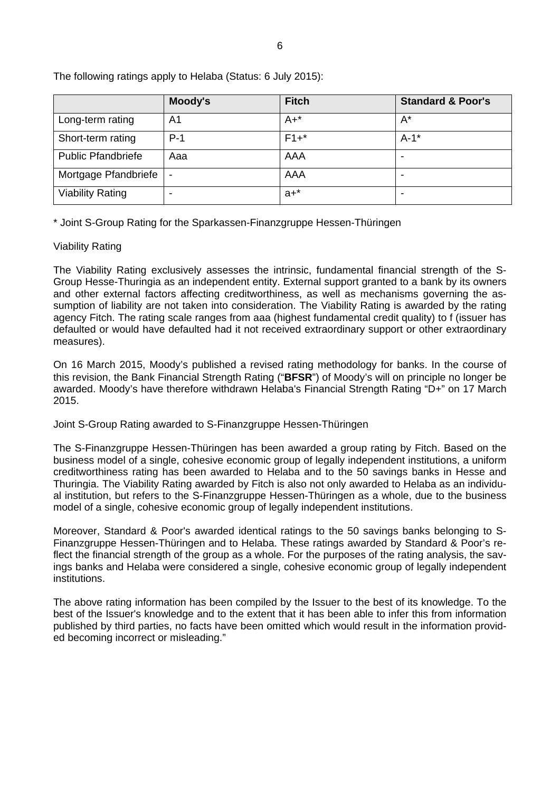|                           | Moody's                      | <b>Fitch</b> | <b>Standard &amp; Poor's</b> |
|---------------------------|------------------------------|--------------|------------------------------|
| Long-term rating          | A <sub>1</sub>               | $A+$ *       | $A^*$                        |
| Short-term rating         | $P-1$                        | $F1+$ *      | $A-1$ *                      |
| <b>Public Pfandbriefe</b> | Aaa                          | AAA          |                              |
| Mortgage Pfandbriefe      | $\qquad \qquad \blacksquare$ | AAA          |                              |
| <b>Viability Rating</b>   |                              | $a + x$      |                              |

The following ratings apply to Helaba (Status: 6 July 2015):

\* Joint S-Group Rating for the Sparkassen-Finanzgruppe Hessen-Thüringen

#### Viability Rating

The Viability Rating exclusively assesses the intrinsic, fundamental financial strength of the S-Group Hesse-Thuringia as an independent entity. External support granted to a bank by its owners and other external factors affecting creditworthiness, as well as mechanisms governing the assumption of liability are not taken into consideration. The Viability Rating is awarded by the rating agency Fitch. The rating scale ranges from aaa (highest fundamental credit quality) to f (issuer has defaulted or would have defaulted had it not received extraordinary support or other extraordinary measures).

On 16 March 2015, Moody's published a revised rating methodology for banks. In the course of this revision, the Bank Financial Strength Rating ("**BFSR**") of Moody's will on principle no longer be awarded. Moody's have therefore withdrawn Helaba's Financial Strength Rating "D+" on 17 March 2015.

Joint S-Group Rating awarded to S-Finanzgruppe Hessen-Thüringen

The S-Finanzgruppe Hessen-Thüringen has been awarded a group rating by Fitch. Based on the business model of a single, cohesive economic group of legally independent institutions, a uniform creditworthiness rating has been awarded to Helaba and to the 50 savings banks in Hesse and Thuringia. The Viability Rating awarded by Fitch is also not only awarded to Helaba as an individual institution, but refers to the S-Finanzgruppe Hessen-Thüringen as a whole, due to the business model of a single, cohesive economic group of legally independent institutions.

Moreover, Standard & Poor's awarded identical ratings to the 50 savings banks belonging to S-Finanzgruppe Hessen-Thüringen and to Helaba. These ratings awarded by Standard & Poor's reflect the financial strength of the group as a whole. For the purposes of the rating analysis, the savings banks and Helaba were considered a single, cohesive economic group of legally independent institutions.

The above rating information has been compiled by the Issuer to the best of its knowledge. To the best of the Issuer's knowledge and to the extent that it has been able to infer this from information published by third parties, no facts have been omitted which would result in the information provided becoming incorrect or misleading."